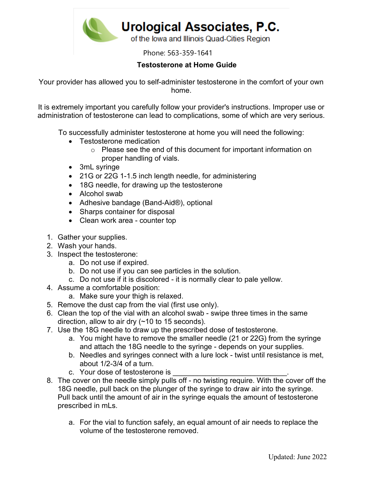

Phone: 563-359-1641

# Testosterone at Home Guide

Your provider has allowed you to self-administer testosterone in the comfort of your own home.

It is extremely important you carefully follow your provider's instructions. Improper use or administration of testosterone can lead to complications, some of which are very serious.

To successfully administer testosterone at home you will need the following:

- Testosterone medication
	- o Please see the end of this document for important information on proper handling of vials.
- 3mL syringe
- 21G or 22G 1-1.5 inch length needle, for administering
- 18G needle, for drawing up the testosterone
- Alcohol swab
- Adhesive bandage (Band-Aid®), optional
- Sharps container for disposal
- Clean work area counter top
- 1. Gather your supplies.
- 2. Wash your hands.
- 3. Inspect the testosterone:
	- a. Do not use if expired.
	- b. Do not use if you can see particles in the solution.
	- c. Do not use if it is discolored it is normally clear to pale yellow.
- 4. Assume a comfortable position:
	- a. Make sure your thigh is relaxed.
- 5. Remove the dust cap from the vial (first use only).
- 6. Clean the top of the vial with an alcohol swab swipe three times in the same direction, allow to air dry (~10 to 15 seconds).
- 7. Use the 18G needle to draw up the prescribed dose of testosterone.
	- a. You might have to remove the smaller needle (21 or 22G) from the syringe and attach the 18G needle to the syringe - depends on your supplies.
	- b. Needles and syringes connect with a lure lock twist until resistance is met, about 1/2-3/4 of a turn.
	- c. Your dose of testosterone is
- 8. The cover on the needle simply pulls off no twisting require. With the cover off the 18G needle, pull back on the plunger of the syringe to draw air into the syringe. Pull back until the amount of air in the syringe equals the amount of testosterone prescribed in mLs.
	- a. For the vial to function safely, an equal amount of air needs to replace the volume of the testosterone removed.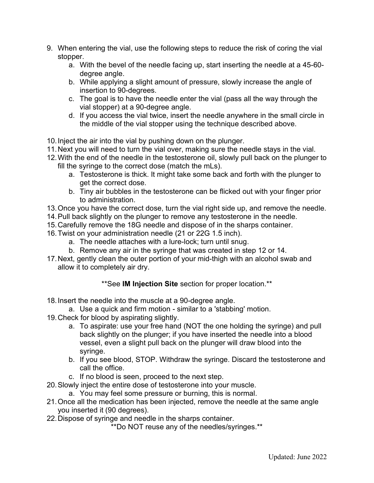- 9. When entering the vial, use the following steps to reduce the risk of coring the vial stopper.
	- a. With the bevel of the needle facing up, start inserting the needle at a 45-60 degree angle.
	- b. While applying a slight amount of pressure, slowly increase the angle of insertion to 90-degrees.
	- c. The goal is to have the needle enter the vial (pass all the way through the vial stopper) at a 90-degree angle.
	- d. If you access the vial twice, insert the needle anywhere in the small circle in the middle of the vial stopper using the technique described above.
- 10. Inject the air into the vial by pushing down on the plunger.
- 11. Next you will need to turn the vial over, making sure the needle stays in the vial.
- 12. With the end of the needle in the testosterone oil, slowly pull back on the plunger to fill the syringe to the correct dose (match the mLs).
	- a. Testosterone is thick. It might take some back and forth with the plunger to get the correct dose.
	- b. Tiny air bubbles in the testosterone can be flicked out with your finger prior to administration.
- 13. Once you have the correct dose, turn the vial right side up, and remove the needle.
- 14. Pull back slightly on the plunger to remove any testosterone in the needle.
- 15. Carefully remove the 18G needle and dispose of in the sharps container.
- 16. Twist on your administration needle (21 or 22G 1.5 inch).
	- a. The needle attaches with a lure-lock; turn until snug.
	- b. Remove any air in the syringe that was created in step 12 or 14.
- 17. Next, gently clean the outer portion of your mid-thigh with an alcohol swab and allow it to completely air dry.

\*\*See IM Injection Site section for proper location.\*\*

- 18. Insert the needle into the muscle at a 90-degree angle.
	- a. Use a quick and firm motion similar to a 'stabbing' motion.
- 19. Check for blood by aspirating slightly.
	- a. To aspirate: use your free hand (NOT the one holding the syringe) and pull back slightly on the plunger; if you have inserted the needle into a blood vessel, even a slight pull back on the plunger will draw blood into the syringe.
	- b. If you see blood, STOP. Withdraw the syringe. Discard the testosterone and call the office.
	- c. If no blood is seen, proceed to the next step.
- 20. Slowly inject the entire dose of testosterone into your muscle.
	- a. You may feel some pressure or burning, this is normal.
- 21. Once all the medication has been injected, remove the needle at the same angle you inserted it (90 degrees).
- 22. Dispose of syringe and needle in the sharps container.

\*\*Do NOT reuse any of the needles/syringes.\*\*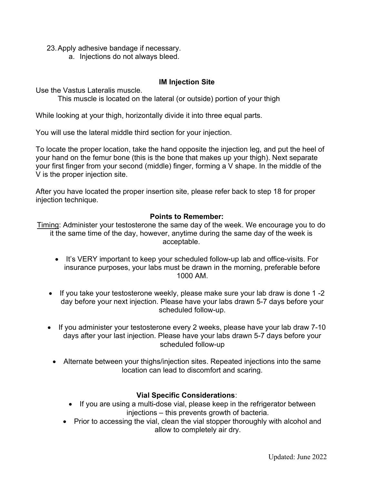23. Apply adhesive bandage if necessary.

a. Injections do not always bleed.

#### IM Injection Site

Use the Vastus Lateralis muscle.

This muscle is located on the lateral (or outside) portion of your thigh

While looking at your thigh, horizontally divide it into three equal parts.

You will use the lateral middle third section for your injection.

To locate the proper location, take the hand opposite the injection leg, and put the heel of your hand on the femur bone (this is the bone that makes up your thigh). Next separate your first finger from your second (middle) finger, forming a V shape. In the middle of the V is the proper injection site.

After you have located the proper insertion site, please refer back to step 18 for proper injection technique.

## Points to Remember:

Timing: Administer your testosterone the same day of the week. We encourage you to do it the same time of the day, however, anytime during the same day of the week is acceptable.

- It's VERY important to keep your scheduled follow-up lab and office-visits. For insurance purposes, your labs must be drawn in the morning, preferable before 1000 AM.
- If you take your testosterone weekly, please make sure your lab draw is done 1-2 day before your next injection. Please have your labs drawn 5-7 days before your scheduled follow-up.
- If you administer your testosterone every 2 weeks, please have your lab draw 7-10 days after your last injection. Please have your labs drawn 5-7 days before your scheduled follow-up
	- Alternate between your thighs/injection sites. Repeated injections into the same location can lead to discomfort and scaring.

## Vial Specific Considerations:

- If you are using a multi-dose vial, please keep in the refrigerator between injections – this prevents growth of bacteria.
- Prior to accessing the vial, clean the vial stopper thoroughly with alcohol and allow to completely air dry.